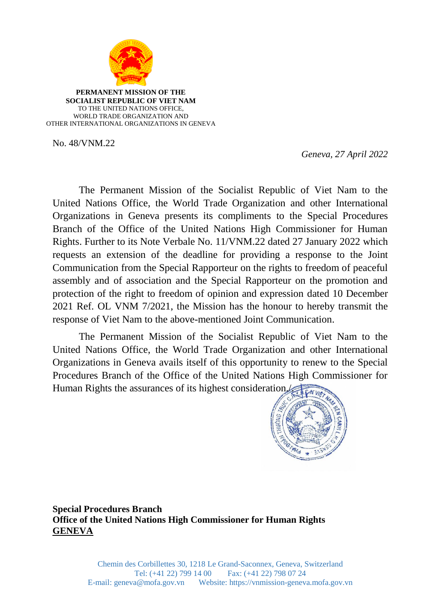

**PERMANENT MISSION OF THE SOCIALIST REPUBLIC OF VIET NAM** TO THE UNITED NATIONS OFFICE, WORLD TRADE ORGANIZATION AND OTHER INTERNATIONAL ORGANIZATIONS IN GENEVA

No. 48/VNM.22

 *Geneva, 27 April 2022*

The Permanent Mission of the Socialist Republic of Viet Nam to the United Nations Office, the World Trade Organization and other International Organizations in Geneva presents its compliments to the Special Procedures Branch of the Office of the United Nations High Commissioner for Human Rights. Further to its Note Verbale No. 11/VNM.22 dated 27 January 2022 which requests an extension of the deadline for providing a response to the Joint Communication from the Special Rapporteur on the rights to freedom of peaceful assembly and of association and the Special Rapporteur on the promotion and protection of the right to freedom of opinion and expression dated 10 December 2021 Ref. OL VNM 7/2021, the Mission has the honour to hereby transmit the response of Viet Nam to the above-mentioned Joint Communication.

The Permanent Mission of the Socialist Republic of Viet Nam to the United Nations Office, the World Trade Organization and other International Organizations in Geneva avails itself of this opportunity to renew to the Special Procedures Branch of the Office of the United Nations High Commissioner for Human Rights the assurances of its highest consideration.



**Special Procedures Branch Office of the United Nations High Commissioner for Human Rights GENEVA**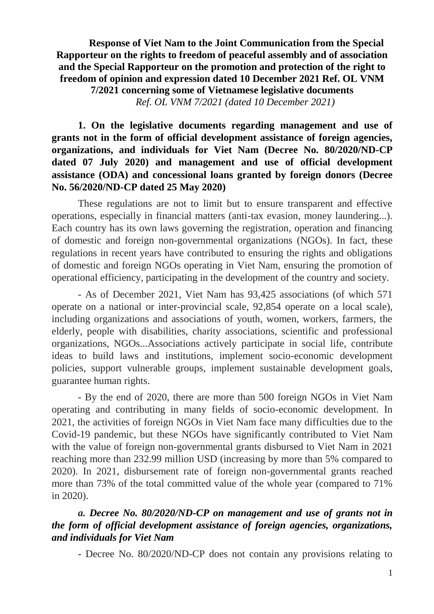**Response of Viet Nam to the Joint Communication from the Special Rapporteur on the rights to freedom of peaceful assembly and of association and the Special Rapporteur on the promotion and protection of the right to freedom of opinion and expression dated 10 December 2021 Ref. OL VNM 7/2021 concerning some of Vietnamese legislative documents** *Ref. OL VNM 7/2021 (dated 10 December 2021)*

## **1. On the legislative documents regarding management and use of grants not in the form of official development assistance of foreign agencies, organizations, and individuals for Viet Nam (Decree No. 80/2020/ND-CP dated 07 July 2020) and management and use of official development assistance (ODA) and concessional loans granted by foreign donors (Decree No. 56/2020/ND-CP dated 25 May 2020)**

These regulations are not to limit but to ensure transparent and effective operations, especially in financial matters (anti-tax evasion, money laundering...). Each country has its own laws governing the registration, operation and financing of domestic and foreign non-governmental organizations (NGOs). In fact, these regulations in recent years have contributed to ensuring the rights and obligations of domestic and foreign NGOs operating in Viet Nam, ensuring the promotion of operational efficiency, participating in the development of the country and society.

- As of December 2021, Viet Nam has 93,425 associations (of which 571 operate on a national or inter-provincial scale, 92,854 operate on a local scale), including organizations and associations of youth, women, workers, farmers, the elderly, people with disabilities, charity associations, scientific and professional organizations, NGOs...Associations actively participate in social life, contribute ideas to build laws and institutions, implement socio-economic development policies, support vulnerable groups, implement sustainable development goals, guarantee human rights.

- By the end of 2020, there are more than 500 foreign NGOs in Viet Nam operating and contributing in many fields of socio-economic development. In 2021, the activities of foreign NGOs in Viet Nam face many difficulties due to the Covid-19 pandemic, but these NGOs have significantly contributed to Viet Nam with the value of foreign non-governmental grants disbursed to Viet Nam in 2021 reaching more than 232.99 million USD (increasing by more than 5% compared to 2020). In 2021, disbursement rate of foreign non-governmental grants reached more than 73% of the total committed value of the whole year (compared to 71% in 2020).

#### *a. Decree No. 80/2020/ND-CP on management and use of grants not in the form of official development assistance of foreign agencies, organizations, and individuals for Viet Nam*

- Decree No. 80/2020/ND-CP does not contain any provisions relating to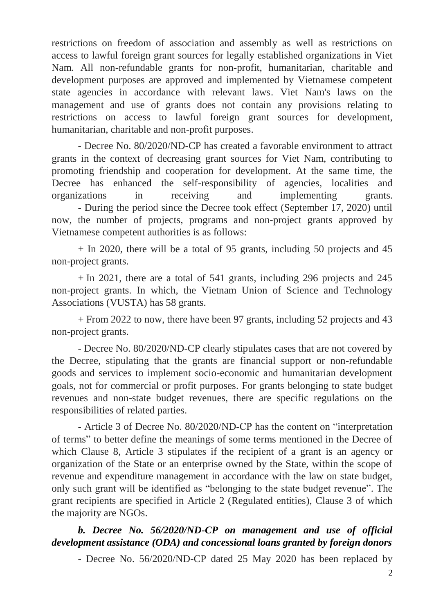restrictions on freedom of association and assembly as well as restrictions on access to lawful foreign grant sources for legally established organizations in Viet Nam. All non-refundable grants for non-profit, humanitarian, charitable and development purposes are approved and implemented by Vietnamese competent state agencies in accordance with relevant laws. Viet Nam's laws on the management and use of grants does not contain any provisions relating to restrictions on access to lawful foreign grant sources for development, humanitarian, charitable and non-profit purposes.

- Decree No. 80/2020/ND-CP has created a favorable environment to attract grants in the context of decreasing grant sources for Viet Nam, contributing to promoting friendship and cooperation for development. At the same time, the Decree has enhanced the self-responsibility of agencies, localities and organizations in receiving and implementing grants. - During the period since the Decree took effect (September 17, 2020) until now, the number of projects, programs and non-project grants approved by Vietnamese competent authorities is as follows:

+ In 2020, there will be a total of 95 grants, including 50 projects and 45 non-project grants.

+ In 2021, there are a total of 541 grants, including 296 projects and 245 non-project grants. In which, the Vietnam Union of Science and Technology Associations (VUSTA) has 58 grants.

+ From 2022 to now, there have been 97 grants, including 52 projects and 43 non-project grants.

- Decree No. 80/2020/ND-CP clearly stipulates cases that are not covered by the Decree, stipulating that the grants are financial support or non-refundable goods and services to implement socio-economic and humanitarian development goals, not for commercial or profit purposes. For grants belonging to state budget revenues and non-state budget revenues, there are specific regulations on the responsibilities of related parties.

- Article 3 of Decree No. 80/2020/ND-CP has the content on "interpretation of terms" to better define the meanings of some terms mentioned in the Decree of which Clause 8, Article 3 stipulates if the recipient of a grant is an agency or organization of the State or an enterprise owned by the State, within the scope of revenue and expenditure management in accordance with the law on state budget, only such grant will be identified as "belonging to the state budget revenue". The grant recipients are specified in Article 2 (Regulated entities), Clause 3 of which the majority are NGOs.

# *b. Decree No. 56/2020/ND-CP on management and use of official development assistance (ODA) and concessional loans granted by foreign donors*

- Decree No. 56/2020/ND-CP dated 25 May 2020 has been replaced by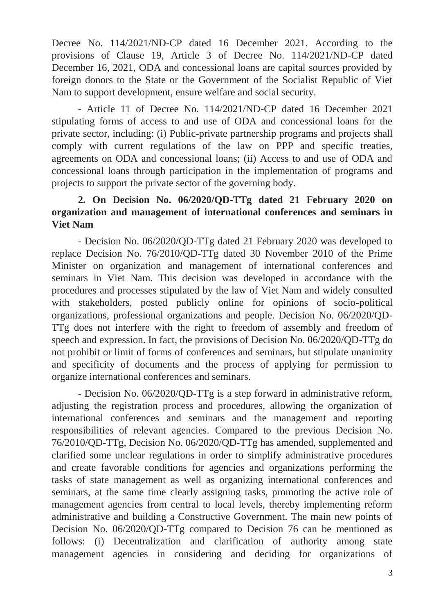Decree No. 114/2021/ND-CP dated 16 December 2021. According to the provisions of Clause 19, Article 3 of Decree No. 114/2021/ND-CP dated December 16, 2021, ODA and concessional loans are capital sources provided by foreign donors to the State or the Government of the Socialist Republic of Viet Nam to support development, ensure welfare and social security.

- Article 11 of Decree No. 114/2021/ND-CP dated 16 December 2021 stipulating forms of access to and use of ODA and concessional loans for the private sector, including: (i) Public-private partnership programs and projects shall comply with current regulations of the law on PPP and specific treaties, agreements on ODA and concessional loans; (ii) Access to and use of ODA and concessional loans through participation in the implementation of programs and projects to support the private sector of the governing body.

## **2. On Decision No. 06/2020/QD-TTg dated 21 February 2020 on organization and management of international conferences and seminars in Viet Nam**

- Decision No. 06/2020/QD-TTg dated 21 February 2020 was developed to replace Decision No. 76/2010/QD-TTg dated 30 November 2010 of the Prime Minister on organization and management of international conferences and seminars in Viet Nam. This decision was developed in accordance with the procedures and processes stipulated by the law of Viet Nam and widely consulted with stakeholders, posted publicly online for opinions of socio-political organizations, professional organizations and people. Decision No. 06/2020/QD-TTg does not interfere with the right to freedom of assembly and freedom of speech and expression. In fact, the provisions of Decision No. 06/2020/QD-TTg do not prohibit or limit of forms of conferences and seminars, but stipulate unanimity and specificity of documents and the process of applying for permission to organize international conferences and seminars.

- Decision No. 06/2020/QD-TTg is a step forward in administrative reform, adjusting the registration process and procedures, allowing the organization of international conferences and seminars and the management and reporting responsibilities of relevant agencies. Compared to the previous Decision No. 76/2010/QD-TTg, Decision No. 06/2020/QD-TTg has amended, supplemented and clarified some unclear regulations in order to simplify administrative procedures and create favorable conditions for agencies and organizations performing the tasks of state management as well as organizing international conferences and seminars, at the same time clearly assigning tasks, promoting the active role of management agencies from central to local levels, thereby implementing reform administrative and building a Constructive Government. The main new points of Decision No. 06/2020/QD-TTg compared to Decision 76 can be mentioned as follows: (i) Decentralization and clarification of authority among state management agencies in considering and deciding for organizations of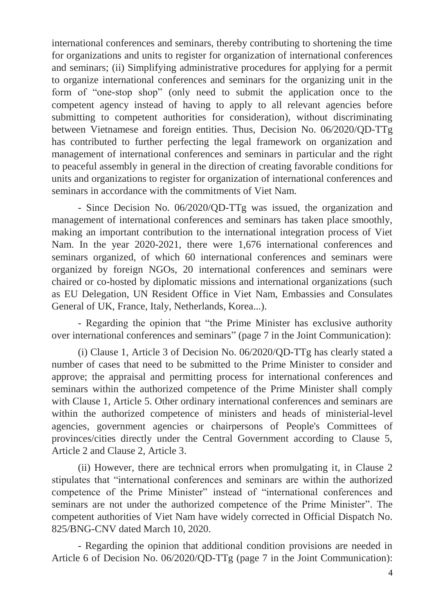international conferences and seminars, thereby contributing to shortening the time for organizations and units to register for organization of international conferences and seminars; (ii) Simplifying administrative procedures for applying for a permit to organize international conferences and seminars for the organizing unit in the form of "one-stop shop" (only need to submit the application once to the competent agency instead of having to apply to all relevant agencies before submitting to competent authorities for consideration), without discriminating between Vietnamese and foreign entities. Thus, Decision No. 06/2020/QD-TTg has contributed to further perfecting the legal framework on organization and management of international conferences and seminars in particular and the right to peaceful assembly in general in the direction of creating favorable conditions for units and organizations to register for organization of international conferences and seminars in accordance with the commitments of Viet Nam.

- Since Decision No. 06/2020/QD-TTg was issued, the organization and management of international conferences and seminars has taken place smoothly, making an important contribution to the international integration process of Viet Nam. In the year 2020-2021, there were 1,676 international conferences and seminars organized, of which 60 international conferences and seminars were organized by foreign NGOs, 20 international conferences and seminars were chaired or co-hosted by diplomatic missions and international organizations (such as EU Delegation, UN Resident Office in Viet Nam, Embassies and Consulates General of UK, France, Italy, Netherlands, Korea...).

- Regarding the opinion that "the Prime Minister has exclusive authority over international conferences and seminars" (page 7 in the Joint Communication):

(i) Clause 1, Article 3 of Decision No. 06/2020/QD-TTg has clearly stated a number of cases that need to be submitted to the Prime Minister to consider and approve; the appraisal and permitting process for international conferences and seminars within the authorized competence of the Prime Minister shall comply with Clause 1, Article 5. Other ordinary international conferences and seminars are within the authorized competence of ministers and heads of ministerial-level agencies, government agencies or chairpersons of People's Committees of provinces/cities directly under the Central Government according to Clause 5, Article 2 and Clause 2, Article 3.

(ii) However, there are technical errors when promulgating it, in Clause 2 stipulates that "international conferences and seminars are within the authorized competence of the Prime Minister" instead of "international conferences and seminars are not under the authorized competence of the Prime Minister". The competent authorities of Viet Nam have widely corrected in Official Dispatch No. 825/BNG-CNV dated March 10, 2020.

- Regarding the opinion that additional condition provisions are needed in Article 6 of Decision No. 06/2020/QD-TTg (page 7 in the Joint Communication):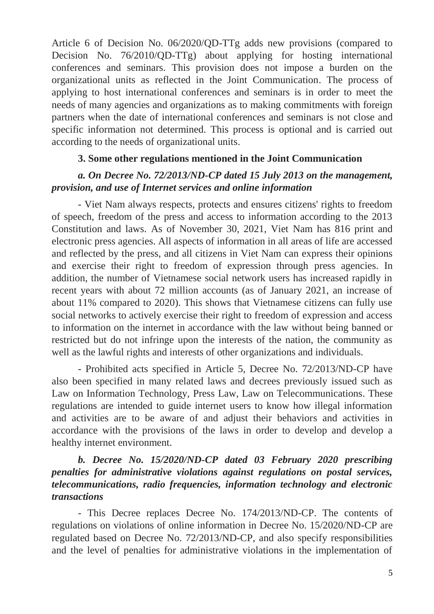Article 6 of Decision No. 06/2020/QD-TTg adds new provisions (compared to Decision No. 76/2010/QD-TTg) about applying for hosting international conferences and seminars. This provision does not impose a burden on the organizational units as reflected in the Joint Communication. The process of applying to host international conferences and seminars is in order to meet the needs of many agencies and organizations as to making commitments with foreign partners when the date of international conferences and seminars is not close and specific information not determined. This process is optional and is carried out according to the needs of organizational units.

#### **3. Some other regulations mentioned in the Joint Communication**

#### *a. On Decree No. 72/2013/ND-CP dated 15 July 2013 on the management, provision, and use of Internet services and online information*

- Viet Nam always respects, protects and ensures citizens' rights to freedom of speech, freedom of the press and access to information according to the 2013 Constitution and laws. As of November 30, 2021, Viet Nam has 816 print and electronic press agencies. All aspects of information in all areas of life are accessed and reflected by the press, and all citizens in Viet Nam can express their opinions and exercise their right to freedom of expression through press agencies. In addition, the number of Vietnamese social network users has increased rapidly in recent years with about 72 million accounts (as of January 2021, an increase of about 11% compared to 2020). This shows that Vietnamese citizens can fully use social networks to actively exercise their right to freedom of expression and access to information on the internet in accordance with the law without being banned or restricted but do not infringe upon the interests of the nation, the community as well as the lawful rights and interests of other organizations and individuals.

- Prohibited acts specified in Article 5, Decree No. 72/2013/ND-CP have also been specified in many related laws and decrees previously issued such as Law on Information Technology, Press Law, Law on Telecommunications. These regulations are intended to guide internet users to know how illegal information and activities are to be aware of and adjust their behaviors and activities in accordance with the provisions of the laws in order to develop and develop a healthy internet environment.

## *b. Decree No. 15/2020/ND-CP dated 03 February 2020 prescribing penalties for administrative violations against regulations on postal services, telecommunications, radio frequencies, information technology and electronic transactions*

- This Decree replaces Decree No. 174/2013/ND-CP. The contents of regulations on violations of online information in Decree No. 15/2020/ND-CP are regulated based on Decree No. 72/2013/ND-CP, and also specify responsibilities and the level of penalties for administrative violations in the implementation of